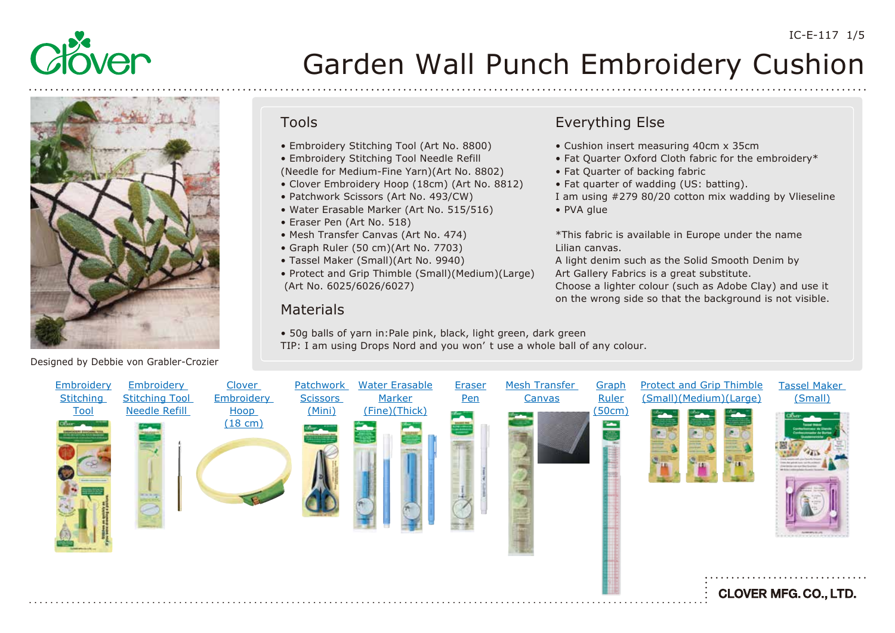



- Clover Embroidery Hoop (18cm) (Art No. 8812)
- Patchwork Scissors (Art No. 493/CW)
- Water Erasable Marker (Art No. 515/516)
- Eraser Pen (Art No. 518)
- Mesh Transfer Canvas (Art No. 474)
- Graph Ruler (50 cm)(Art No. 7703)
- Tassel Maker (Small)(Art No. 9940)
- Protect and Grip Thimble (Small)(Medium)(Large) (Art No. 6025/6026/6027)

### Materials

- 50g balls of yarn in:Pale pink, black, light green, dark green
- TIP: I am using Drops Nord and you won' t use a whole ball of any colour.

### Everything Else

- Cushion insert measuring 40cm x 35cm
- Fat Quarter Oxford Cloth fabric for the embroidery\*
- Fat Quarter of backing fabric
- Fat quarter of wadding (US: batting).
- I am using #279 80/20 cotton mix wadding by Vlieseline
- PVA glue
- \*This fabric is available in Europe under the name Lilian canvas.

A light denim such as the Solid Smooth Denim by Art Gallery Fabrics is a great substitute.

Choose a lighter colour (such as Adobe Clay) and use it on the wrong side so that the background is not visible.



Designed by Debbie von Grabler-Crozier

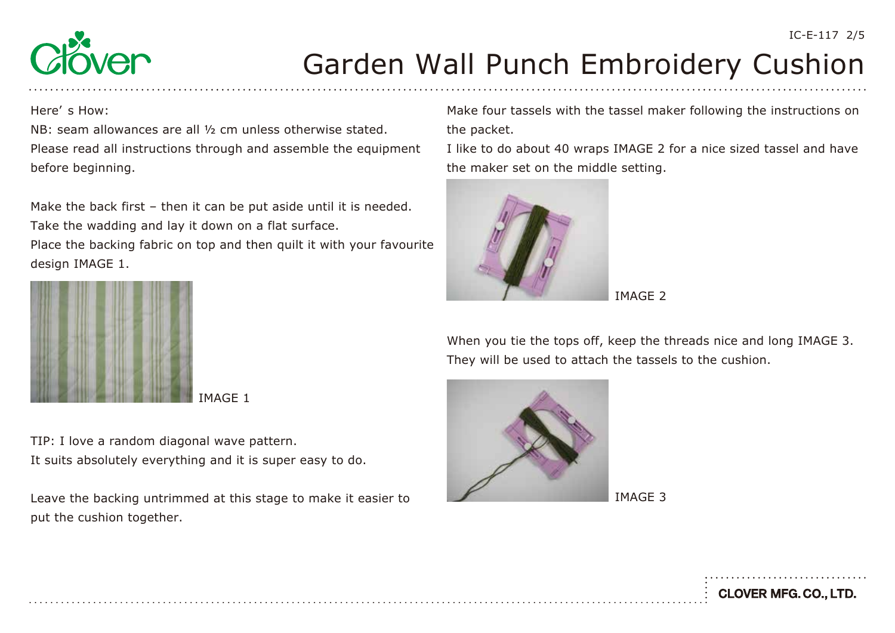**CLOVER MFG. CO., LTD.** 



# Garden Wall Punch Embroidery Cushion

Here' s How:

NB: seam allowances are all ½ cm unless otherwise stated. Please read all instructions through and assemble the equipment before beginning.

Make the back first – then it can be put aside until it is needed. Take the wadding and lay it down on a flat surface.

Place the backing fabric on top and then quilt it with your favourite design IMAGE 1.



MAGE 1

TIP: I love a random diagonal wave pattern. It suits absolutely everything and it is super easy to do.

Leave the backing untrimmed at this stage to make it easier to put the cushion together.

Make four tassels with the tassel maker following the instructions on the packet.

I like to do about 40 wraps IMAGE 2 for a nice sized tassel and have the maker set on the middle setting.



IMAGE 2

When you tie the tops off, keep the threads nice and long IMAGE 3. They will be used to attach the tassels to the cushion.



IMAGE 3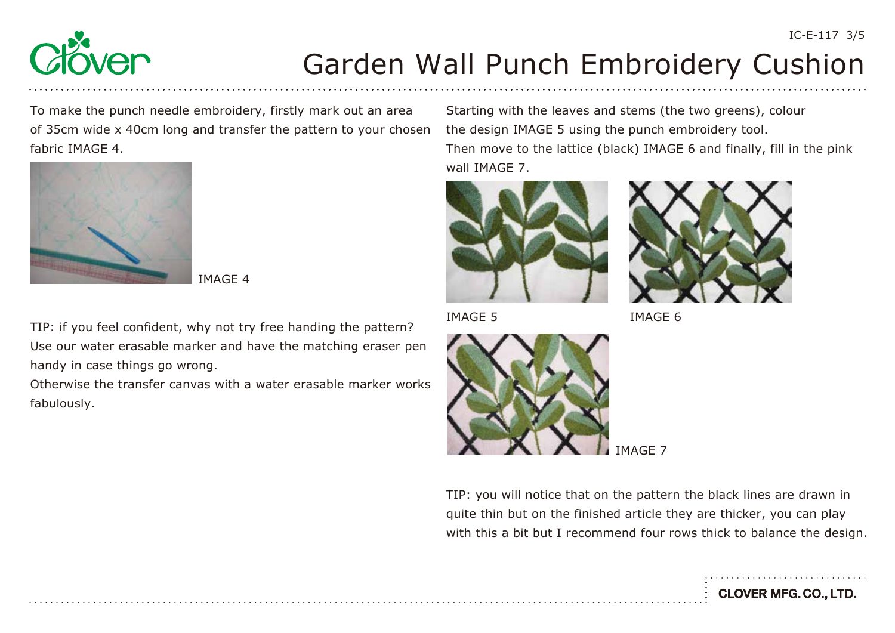

To make the punch needle embroidery, firstly mark out an area of 35cm wide x 40cm long and transfer the pattern to your chosen fabric IMAGE 4.



IMAGE 4

TIP: if you feel confident, why not try free handing the pattern? Use our water erasable marker and have the matching eraser pen handy in case things go wrong.

Otherwise the transfer canvas with a water erasable marker works fabulously.

Starting with the leaves and stems (the two greens), colour the design IMAGE 5 using the punch embroidery tool. Then move to the lattice (black) IMAGE 6 and finally, fill in the pink wall IMAGE 7.





IMAGE 5 IMAGE 6



TIP: you will notice that on the pattern the black lines are drawn in quite thin but on the finished article they are thicker, you can play with this a bit but I recommend four rows thick to balance the design.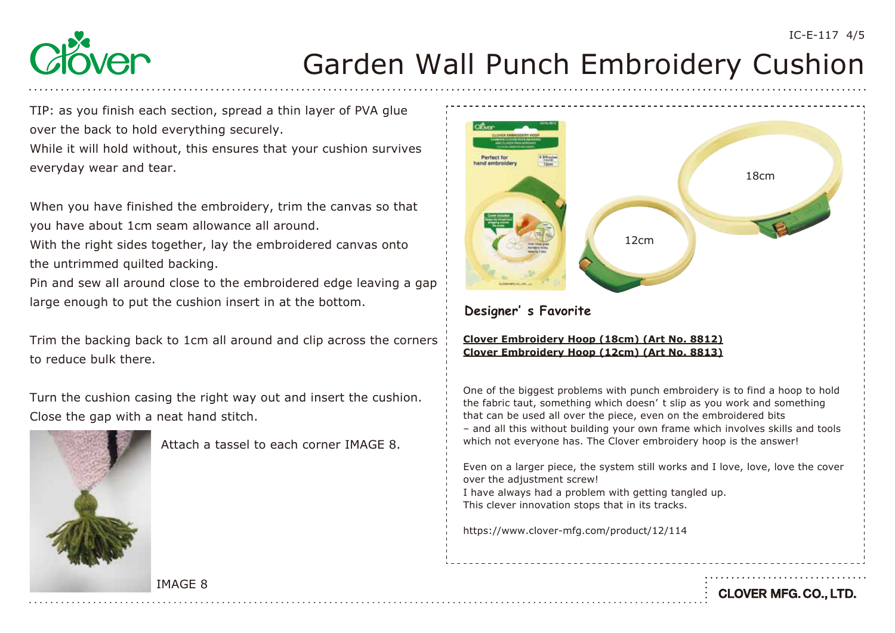

TIP: as you finish each section, spread a thin layer of PVA glue over the back to hold everything securely.

While it will hold without, this ensures that your cushion survives everyday wear and tear.

When you have finished the embroidery, trim the canvas so that you have about 1cm seam allowance all around.

With the right sides together, lay the embroidered canvas onto the untrimmed quilted backing.

Pin and sew all around close to the embroidered edge leaving a gap large enough to put the cushion insert in at the bottom.

Trim the backing back to 1cm all around and clip across the corners to reduce bulk there.

Turn the cushion casing the right way out and insert the cushion. Close the gap with a neat hand stitch.



Attach a tassel to each corner IMAGE 8.



### **Designer' s Favorite**

#### **[Clover Embroidery Hoop \(18cm\) \(Art No. 8812\)](https://www.clover-mfg.com/product/12/114) Clover Embroidery Hoop (12cm) (Art No. 8813)**

One of the biggest problems with punch embroidery is to find a hoop to hold the fabric taut, something which doesn' t slip as you work and something that can be used all over the piece, even on the embroidered bits – and all this without building your own frame which involves skills and tools which not everyone has. The Clover embroidery hoop is the answer!

Even on a larger piece, the system still works and I love, love, love the cover over the adjustment screw!

I have always had a problem with getting tangled up. This clever innovation stops that in its tracks.

https://www.clover-mfg.com/product/12/114

IMAGE 8

**CLOVER MFG. CO., LTD.**